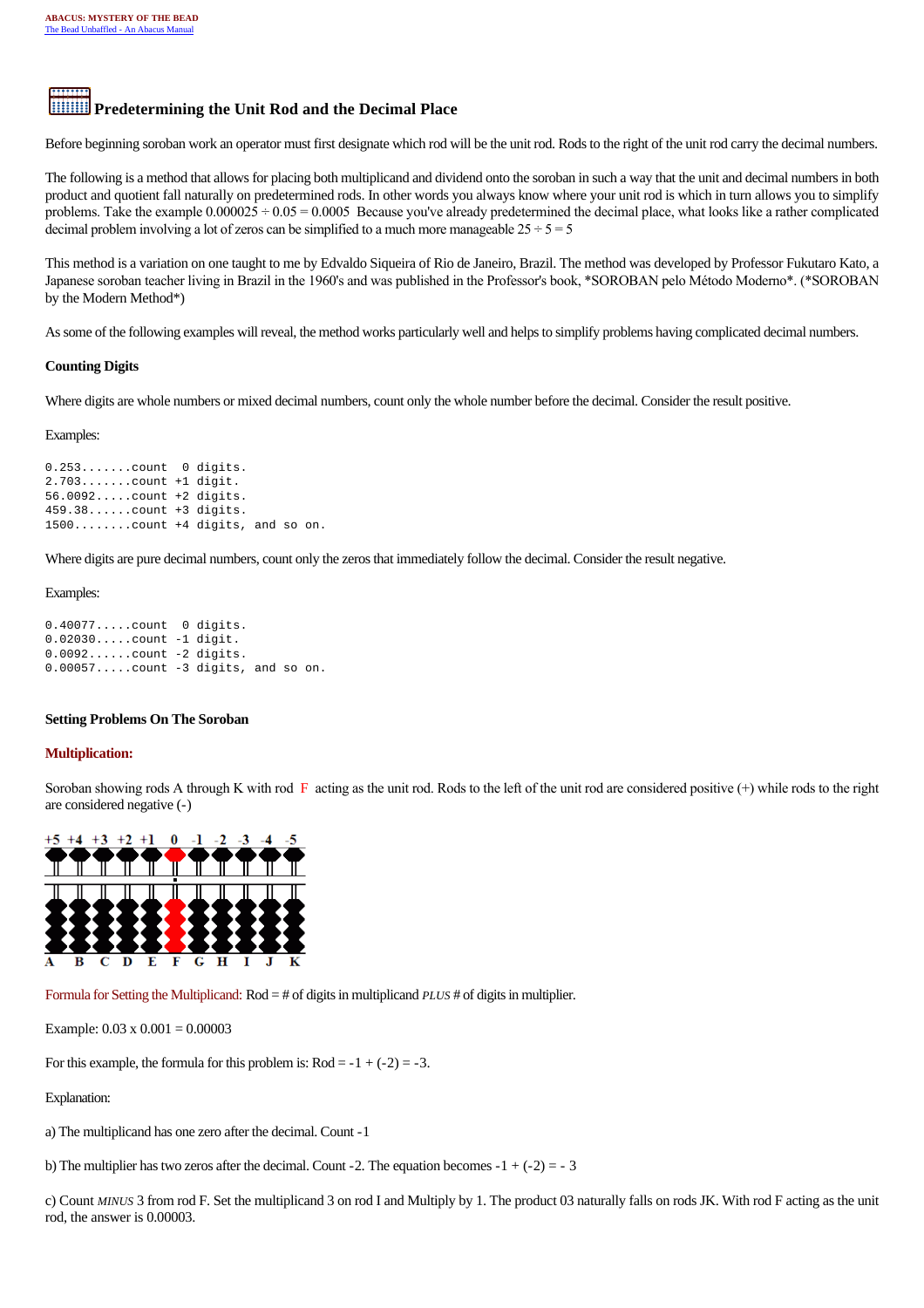# **Predetermining the Unit Rod and the Decimal Place**

Before beginning soroban work an operator must first designate which rod will be the unit rod. Rods to the right of the unit rod carry the decimal numbers.

The following is a method that allows for placing both multiplicand and dividend onto the soroban in such a way that the unit and decimal numbers in both product and quotient fall naturally on predetermined rods. In other words you always know where your unit rod is which in turn allows you to simplify problems. Take the example  $0.000025 \div 0.05 = 0.0005$  Because you've already predetermined the decimal place, what looks like a rather complicated decimal problem involving a lot of zeros can be simplified to a much more manageable  $25 \div 5 = 5$ 

This method is a variation on one taught to me by Edvaldo Siqueira of Rio de Janeiro, Brazil. The method was developed by Professor Fukutaro Kato, a Japanese soroban teacher living in Brazil in the 1960's and was published in the Professor's book, \*SOROBAN pelo Método Moderno\*. (\*SOROBAN by the Modern Method\*)

As some of the following examples will reveal, the method works particularly well and helps to simplify problems having complicated decimal numbers.

# **Counting Digits**

Where digits are whole numbers or mixed decimal numbers, count only the whole number before the decimal. Consider the result positive.

Examples:

0.253.......count 0 digits. 2.703.......count +1 digit. 56.0092.....count +2 digits. 459.38......count +3 digits. 1500........count +4 digits, and so on.

Where digits are pure decimal numbers, count only the zeros that immediately follow the decimal. Consider the result negative.

## Examples:

0.40077.....count 0 digits. 0.02030.....count -1 digit. 0.0092......count -2 digits. 0.00057.....count -3 digits, and so on.

# **Setting Problems On The Soroban**

# **Multiplication:**

Soroban showing rods A through K with rod  $\overline{F}$  acting as the unit rod. Rods to the left of the unit rod are considered positive (+) while rods to the right are considered negative (-)



Formula for Setting the Multiplicand: Rod = # of digits in multiplicand *PLUS* # of digits in multiplier.

Example:  $0.03 \times 0.001 = 0.00003$ 

For this example, the formula for this problem is:  $Rod = -1 + (-2) = -3$ .

Explanation:

a) The multiplicand has one zero after the decimal. Count -1

b) The multiplier has two zeros after the decimal. Count -2. The equation becomes  $-1 + (-2) = -3$ 

c) Count *MINUS* 3 from rod F. Set the multiplicand 3 on rod I and Multiply by 1. The product 03 naturally falls on rods JK. With rod F acting as the unit rod, the answer is 0.00003.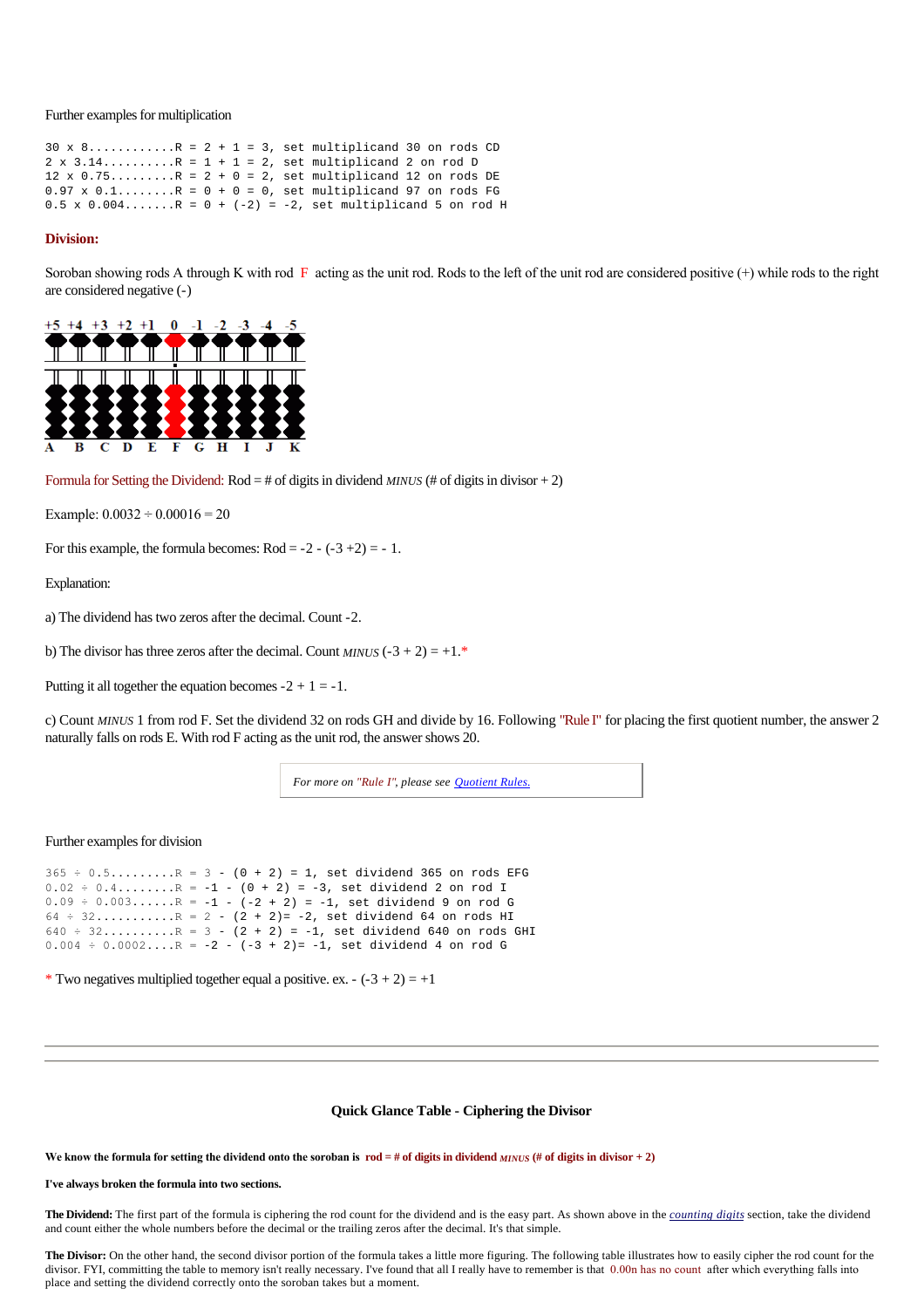Further examples for multiplication

 $30 \times 8...$ ........R =  $2 + 1 = 3$ , set multiplicand 30 on rods CD  $2 \times 3.14$ .........R =  $1 + 1 = 2$ , set multiplicand 2 on rod D  $12 \times 0.75......$   $R = 2 + 0 = 2$ , set multiplicand 12 on rods DE  $0.97 \times 0.1$ .......R =  $0 + 0 = 0$ , set multiplicand 97 on rods FG  $0.5 \times 0.004......$   $R = 0 + (-2) = -2$ , set multiplicand 5 on rod H

#### **Division:**

Soroban showing rods A through K with rod  $\overline{F}$  acting as the unit rod. Rods to the left of the unit rod are considered positive (+) while rods to the right are considered negative (-)



Formula for Setting the Dividend:  $Rod = #$  of digits in dividend *MINUS* (# of digits in divisor + 2)

Example:  $0.0032 \div 0.00016 = 20$ 

For this example, the formula becomes:  $Rod = -2 - (-3 + 2) = -1$ .

Explanation:

a) The dividend has two zeros after the decimal. Count -2.

b) The divisor has three zeros after the decimal. Count *MINUS*  $(-3 + 2) = +1.*$ 

Putting it all together the equation becomes  $-2 + 1 = -1$ .

c) Count *MINUS* 1 from rod F. Set the dividend 32 on rods GH and divide by 16. Following "Rule I" for placing the first quotient number, the answer 2 naturally falls on rods E. With rod F acting as the unit rod, the answer shows 20.

*For more on "Rule I", please see [Quotient Rules.](http://webhome.idirect.com/~totton/abacus/pages.htm#Quotient1)*

## Further examples for division

 $365 \div 0.5......$   $R = 3 - (0 + 2) = 1$ , set dividend 365 on rods EFG  $0.02 \div 0.4$ ........R =  $-1$  -  $(0 + 2)$  =  $-3$ , set dividend 2 on rod I  $0.09 \div 0.003...$   $\ldots$   $R = -1 - (-2 + 2) = -1$ , set dividend 9 on rod G  $64 \div 32.........$   $R = 2 - (2 + 2) = -2$ , set dividend 64 on rods HI  $640 \div 32.........$   $R = 3 - (2 + 2) = -1$ , set dividend 640 on rods GHI  $0.004 \div 0.0002...$  R = -2 -  $(-3 + 2) = -1$ , set dividend 4 on rod G

\* Two negatives multiplied together equal a positive. ex. -  $(-3 + 2) = +1$ 

## **Quick Glance Table - Ciphering the Divisor**

We know the formula for setting the dividend onto the soroban is  $\text{rod} = \# \text{ of digits in dividend}$  *MINUS* (# of digits in divisor + 2)

#### **I've always broken the formula into two sections.**

**The Dividend:** The first part of the formula is ciphering the rod count for the dividend and is the easy part. As shown above in the *counting digits* section, take the dividend and count either the whole numbers before the decimal or the trailing zeros after the decimal. It's that simple.

The Divisor: On the other hand, the second divisor portion of the formula takes a little more figuring. The following table illustrates how to easily cipher the rod count for the divisor. FYI, committing the table to memory isn't really necessary. I've found that all I really have to remember is that 0.00n has no count after which everything falls into place and setting the dividend correctly onto the soroban takes but a moment.